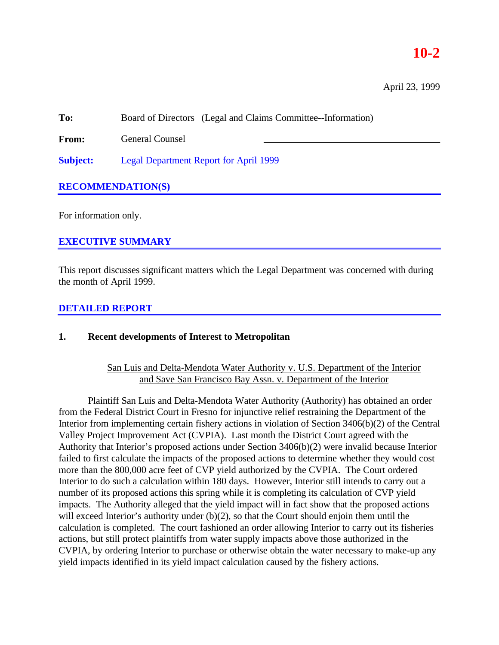# **10-2**

April 23, 1999

**To:** Board of Directors (Legal and Claims Committee--Information)

**From:** General Counsel

**Subject:** Legal Department Report for April 1999

# **RECOMMENDATION(S)**

For information only.

# **EXECUTIVE SUMMARY**

This report discusses significant matters which the Legal Department was concerned with during the month of April 1999.

## **DETAILED REPORT**

### **1. Recent developments of Interest to Metropolitan**

San Luis and Delta-Mendota Water Authority v. U.S. Department of the Interior and Save San Francisco Bay Assn. v. Department of the Interior

Plaintiff San Luis and Delta-Mendota Water Authority (Authority) has obtained an order from the Federal District Court in Fresno for injunctive relief restraining the Department of the Interior from implementing certain fishery actions in violation of Section 3406(b)(2) of the Central Valley Project Improvement Act (CVPIA). Last month the District Court agreed with the Authority that Interior's proposed actions under Section 3406(b)(2) were invalid because Interior failed to first calculate the impacts of the proposed actions to determine whether they would cost more than the 800,000 acre feet of CVP yield authorized by the CVPIA. The Court ordered Interior to do such a calculation within 180 days. However, Interior still intends to carry out a number of its proposed actions this spring while it is completing its calculation of CVP yield impacts. The Authority alleged that the yield impact will in fact show that the proposed actions will exceed Interior's authority under (b)(2), so that the Court should enjoin them until the calculation is completed. The court fashioned an order allowing Interior to carry out its fisheries actions, but still protect plaintiffs from water supply impacts above those authorized in the CVPIA, by ordering Interior to purchase or otherwise obtain the water necessary to make-up any yield impacts identified in its yield impact calculation caused by the fishery actions.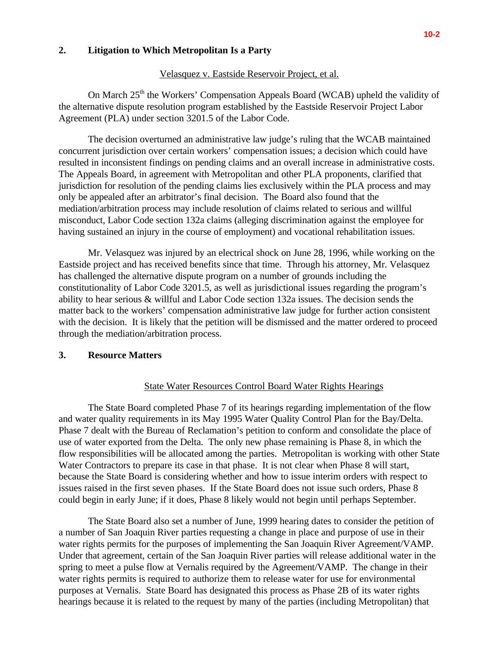### **2. Litigation to Which Metropolitan Is a Party**

#### Velasquez v. Eastside Reservoir Project, et al.

On March 25<sup>th</sup> the Workers' Compensation Appeals Board (WCAB) upheld the validity of the alternative dispute resolution program established by the Eastside Reservoir Project Labor Agreement (PLA) under section 3201.5 of the Labor Code.

The decision overturned an administrative law judge's ruling that the WCAB maintained concurrent jurisdiction over certain workers' compensation issues; a decision which could have resulted in inconsistent findings on pending claims and an overall increase in administrative costs. The Appeals Board, in agreement with Metropolitan and other PLA proponents, clarified that jurisdiction for resolution of the pending claims lies exclusively within the PLA process and may only be appealed after an arbitrator's final decision. The Board also found that the mediation/arbitration process may include resolution of claims related to serious and willful misconduct, Labor Code section 132a claims (alleging discrimination against the employee for having sustained an injury in the course of employment) and vocational rehabilitation issues.

Mr. Velasquez was injured by an electrical shock on June 28, 1996, while working on the Eastside project and has received benefits since that time. Through his attorney, Mr. Velasquez has challenged the alternative dispute program on a number of grounds including the constitutionality of Labor Code 3201.5, as well as jurisdictional issues regarding the program's ability to hear serious & willful and Labor Code section 132a issues. The decision sends the matter back to the workers' compensation administrative law judge for further action consistent with the decision. It is likely that the petition will be dismissed and the matter ordered to proceed through the mediation/arbitration process.

#### **3. Resource Matters**

### State Water Resources Control Board Water Rights Hearings

The State Board completed Phase 7 of its hearings regarding implementation of the flow and water quality requirements in its May 1995 Water Quality Control Plan for the Bay/Delta. Phase 7 dealt with the Bureau of Reclamation's petition to conform and consolidate the place of use of water exported from the Delta. The only new phase remaining is Phase 8, in which the flow responsibilities will be allocated among the parties. Metropolitan is working with other State Water Contractors to prepare its case in that phase. It is not clear when Phase 8 will start, because the State Board is considering whether and how to issue interim orders with respect to issues raised in the first seven phases. If the State Board does not issue such orders, Phase 8 could begin in early June; if it does, Phase 8 likely would not begin until perhaps September.

The State Board also set a number of June, 1999 hearing dates to consider the petition of a number of San Joaquin River parties requesting a change in place and purpose of use in their water rights permits for the purposes of implementing the San Joaquin River Agreement/VAMP. Under that agreement, certain of the San Joaquin River parties will release additional water in the spring to meet a pulse flow at Vernalis required by the Agreement/VAMP. The change in their water rights permits is required to authorize them to release water for use for environmental purposes at Vernalis. State Board has designated this process as Phase 2B of its water rights hearings because it is related to the request by many of the parties (including Metropolitan) that